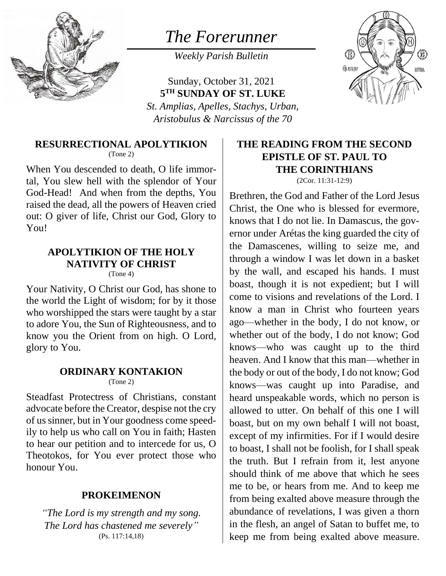

# *The Forerunner*

*Weekly Parish Bulletin*

Sunday, October 31, 2021 **5 TH SUNDAY OF ST. LUKE** *St. Amplias, Apelles, Stachys, Urban, Aristobulus & Narcissus of the 70*



**RESURRECTIONAL APOLYTIKION**

(Tone 2)

When You descended to death, O life immortal, You slew hell with the splendor of Your God-Head! And when from the depths, You raised the dead, all the powers of Heaven cried out: O giver of life, Christ our God, Glory to You!

## **APOLYTIKION OF THE HOLY NATIVITY OF CHRIST**

 $(Tone 4)$ 

Your Nativity, O Christ our God, has shone to the world the Light of wisdom; for by it those who worshipped the stars were taught by a star to adore You, the Sun of Righteousness, and to know you the Orient from on high. O Lord, glory to You.

#### **ORDINARY KONTAKION** (Tone 2)

Steadfast Protectress of Christians, constant advocate before the Creator, despise not the cry of us sinner, but in Your goodness come speedily to help us who call on You in faith; Hasten to hear our petition and to intercede for us, O Theotokos, for You ever protect those who honour You.

### **PROKEIMENON**

*"The Lord is my strength and my song. The Lord has chastened me severely"* (Ps. 117:14,18)

# **THE READING FROM THE SECOND EPISTLE OF ST. PAUL TO THE CORINTHIANS**

(2Cor. 11:31-12:9) Brethren, the God and Father of the Lord Jesus Christ, the One who is blessed for evermore, knows that I do not lie. In Damascus, the governor under Arétas the king guarded the city of the Damascenes, willing to seize me, and through a window I was let down in a basket by the wall, and escaped his hands. I must boast, though it is not expedient; but I will come to visions and revelations of the Lord. I know a man in Christ who fourteen years ago—whether in the body, I do not know, or whether out of the body, I do not know; God knows—who was caught up to the third heaven. And I know that this man—whether in the body or out of the body, I do not know; God knows—was caught up into Paradise, and heard unspeakable words, which no person is allowed to utter. On behalf of this one I will boast, but on my own behalf I will not boast, except of my infirmities. For if I would desire to boast, I shall not be foolish, for I shall speak the truth. But I refrain from it, lest anyone should think of me above that which he sees me to be, or hears from me. And to keep me from being exalted above measure through the abundance of revelations, I was given a thorn in the flesh, an angel of Satan to buffet me, to keep me from being exalted above measure.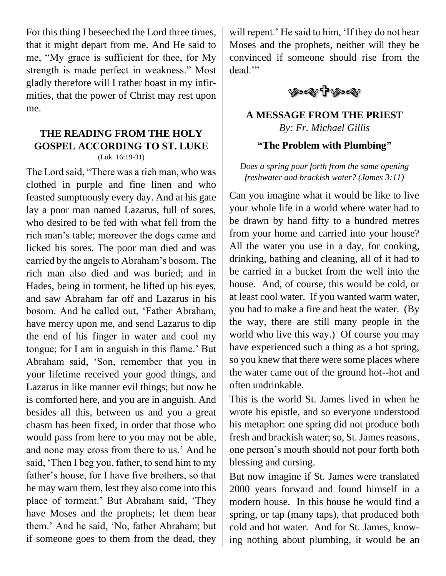For this thing I beseeched the Lord three times, that it might depart from me. And He said to me, "My grace is sufficient for thee, for My strength is made perfect in weakness." Most gladly therefore will I rather boast in my infirmities, that the power of Christ may rest upon me.

#### **THE READING FROM THE HOLY GOSPEL ACCORDING TO ST. LUKE** (Luk. 16:19-31)

The Lord said, "There was a rich man, who was clothed in purple and fine linen and who feasted sumptuously every day. And at his gate lay a poor man named Lazarus, full of sores, who desired to be fed with what fell from the rich man's table; moreover the dogs came and licked his sores. The poor man died and was carried by the angels to Abraham's bosom. The rich man also died and was buried; and in Hades, being in torment, he lifted up his eyes, and saw Abraham far off and Lazarus in his bosom. And he called out, 'Father Abraham, have mercy upon me, and send Lazarus to dip the end of his finger in water and cool my tongue; for I am in anguish in this flame.' But Abraham said, 'Son, remember that you in your lifetime received your good things, and Lazarus in like manner evil things; but now he is comforted here, and you are in anguish. And besides all this, between us and you a great chasm has been fixed, in order that those who would pass from here to you may not be able, and none may cross from there to us.' And he said, 'Then I beg you, father, to send him to my father's house, for I have five brothers, so that he may warn them, lest they also come into this place of torment.' But Abraham said, 'They have Moses and the prophets; let them hear them.' And he said, 'No, father Abraham; but if someone goes to them from the dead, they

will repent.' He said to him, 'If they do not hear Moses and the prophets, neither will they be convinced if someone should rise from the dead."



### **A MESSAGE FROM THE PRIEST** *By: Fr. Michael Gillis*

### **"The Problem with Plumbing"**

*Does a spring pour forth from the same opening freshwater and brackish water? (James 3:11)*

Can you imagine what it would be like to live your whole life in a world where water had to be drawn by hand fifty to a hundred metres from your home and carried into your house? All the water you use in a day, for cooking, drinking, bathing and cleaning, all of it had to be carried in a bucket from the well into the house. And, of course, this would be cold, or at least cool water. If you wanted warm water, you had to make a fire and heat the water. (By the way, there are still many people in the world who live this way.) Of course you may have experienced such a thing as a hot spring, so you knew that there were some places where the water came out of the ground hot--hot and often undrinkable.

This is the world St. James lived in when he wrote his epistle, and so everyone understood his metaphor: one spring did not produce both fresh and brackish water; so, St. James reasons, one person's mouth should not pour forth both blessing and cursing.

But now imagine if St. James were translated 2000 years forward and found himself in a modern house. In this house he would find a spring, or tap (many taps), that produced both cold and hot water. And for St. James, knowing nothing about plumbing, it would be an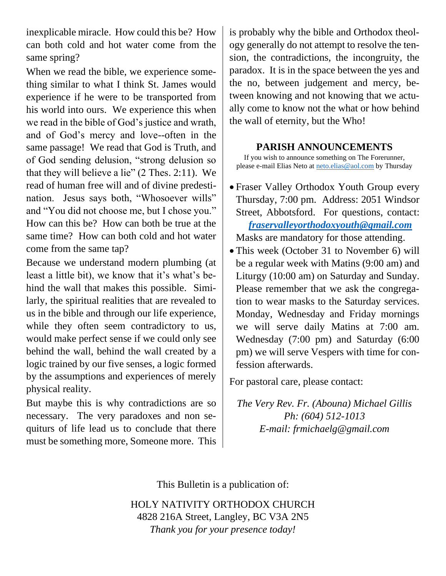inexplicable miracle. How could this be? How can both cold and hot water come from the same spring?

When we read the bible, we experience something similar to what I think St. James would experience if he were to be transported from his world into ours. We experience this when we read in the bible of God's justice and wrath, and of God's mercy and love--often in the same passage! We read that God is Truth, and of God sending delusion, "strong delusion so that they will believe a lie" (2 Thes. 2:11). We read of human free will and of divine predestination. Jesus says both, "Whosoever wills" and "You did not choose me, but I chose you." How can this be? How can both be true at the same time? How can both cold and hot water come from the same tap?

Because we understand modern plumbing (at least a little bit), we know that it's what's behind the wall that makes this possible. Similarly, the spiritual realities that are revealed to us in the bible and through our life experience, while they often seem contradictory to us, would make perfect sense if we could only see behind the wall, behind the wall created by a logic trained by our five senses, a logic formed by the assumptions and experiences of merely physical reality.

But maybe this is why contradictions are so necessary. The very paradoxes and non sequiturs of life lead us to conclude that there must be something more, Someone more. This is probably why the bible and Orthodox theology generally do not attempt to resolve the tension, the contradictions, the incongruity, the paradox. It is in the space between the yes and the no, between judgement and mercy, between knowing and not knowing that we actually come to know not the what or how behind the wall of eternity, but the Who!

#### **PARISH ANNOUNCEMENTS**

If you wish to announce something on The Forerunner, please e-mail Elias Neto at [neto.elias@aol.com](mailto:neto.elias@aol.com) by Thursday

• Fraser Valley Orthodox Youth Group every Thursday, 7:00 pm. Address: 2051 Windsor Street, Abbotsford. For questions, contact:  *[fraservalleyorthodoxyouth@gmail.com](mailto:fraservalleyorthodoxyouth@gmail.com)*

Masks are mandatory for those attending.

• This week (October 31 to November 6) will be a regular week with Matins (9:00 am) and Liturgy (10:00 am) on Saturday and Sunday. Please remember that we ask the congregation to wear masks to the Saturday services. Monday, Wednesday and Friday mornings we will serve daily Matins at 7:00 am. Wednesday (7:00 pm) and Saturday (6:00 pm) we will serve Vespers with time for confession afterwards.

For pastoral care, please contact:

*The Very Rev. Fr. (Abouna) Michael Gillis Ph: (604) 512-1013 E-mail: frmichaelg@gmail.com*

This Bulletin is a publication of:

HOLY NATIVITY ORTHODOX CHURCH 4828 216A Street, Langley, BC V3A 2N5 *Thank you for your presence today!*